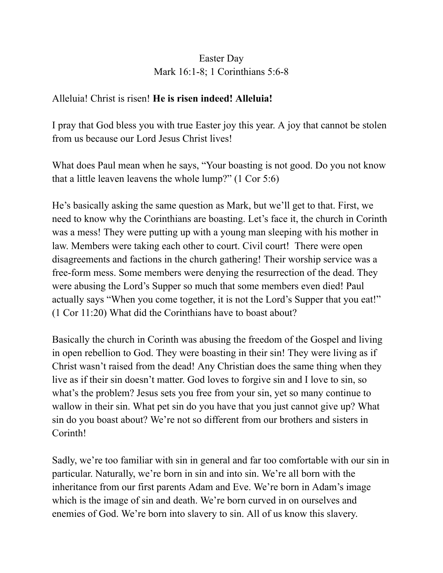## Easter Day Mark 16:1-8; 1 Corinthians 5:6-8

## Alleluia! Christ is risen! **He is risen indeed! Alleluia!**

I pray that God bless you with true Easter joy this year. A joy that cannot be stolen from us because our Lord Jesus Christ lives!

What does Paul mean when he says, "Your boasting is not good. Do you not know that a little leaven leavens the whole lump?" (1 Cor 5:6)

He's basically asking the same question as Mark, but we'll get to that. First, we need to know why the Corinthians are boasting. Let's face it, the church in Corinth was a mess! They were putting up with a young man sleeping with his mother in law. Members were taking each other to court. Civil court! There were open disagreements and factions in the church gathering! Their worship service was a free-form mess. Some members were denying the resurrection of the dead. They were abusing the Lord's Supper so much that some members even died! Paul actually says "When you come together, it is not the Lord's Supper that you eat!" (1 Cor 11:20) What did the Corinthians have to boast about?

Basically the church in Corinth was abusing the freedom of the Gospel and living in open rebellion to God. They were boasting in their sin! They were living as if Christ wasn't raised from the dead! Any Christian does the same thing when they live as if their sin doesn't matter. God loves to forgive sin and I love to sin, so what's the problem? Jesus sets you free from your sin, yet so many continue to wallow in their sin. What pet sin do you have that you just cannot give up? What sin do you boast about? We're not so different from our brothers and sisters in Corinth!

Sadly, we're too familiar with sin in general and far too comfortable with our sin in particular. Naturally, we're born in sin and into sin. We're all born with the inheritance from our first parents Adam and Eve. We're born in Adam's image which is the image of sin and death. We're born curved in on ourselves and enemies of God. We're born into slavery to sin. All of us know this slavery.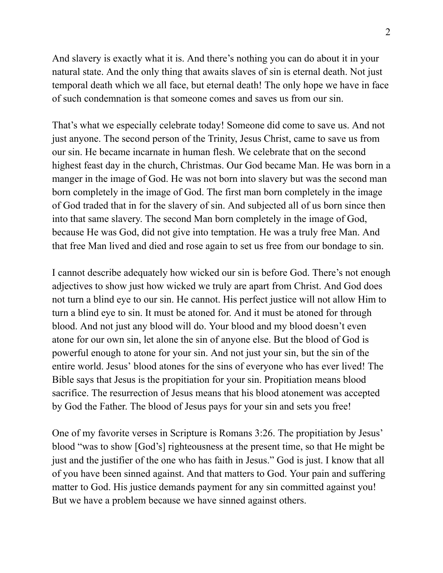And slavery is exactly what it is. And there's nothing you can do about it in your natural state. And the only thing that awaits slaves of sin is eternal death. Not just temporal death which we all face, but eternal death! The only hope we have in face of such condemnation is that someone comes and saves us from our sin.

That's what we especially celebrate today! Someone did come to save us. And not just anyone. The second person of the Trinity, Jesus Christ, came to save us from our sin. He became incarnate in human flesh. We celebrate that on the second highest feast day in the church, Christmas. Our God became Man. He was born in a manger in the image of God. He was not born into slavery but was the second man born completely in the image of God. The first man born completely in the image of God traded that in for the slavery of sin. And subjected all of us born since then into that same slavery. The second Man born completely in the image of God, because He was God, did not give into temptation. He was a truly free Man. And that free Man lived and died and rose again to set us free from our bondage to sin.

I cannot describe adequately how wicked our sin is before God. There's not enough adjectives to show just how wicked we truly are apart from Christ. And God does not turn a blind eye to our sin. He cannot. His perfect justice will not allow Him to turn a blind eye to sin. It must be atoned for. And it must be atoned for through blood. And not just any blood will do. Your blood and my blood doesn't even atone for our own sin, let alone the sin of anyone else. But the blood of God is powerful enough to atone for your sin. And not just your sin, but the sin of the entire world. Jesus' blood atones for the sins of everyone who has ever lived! The Bible says that Jesus is the propitiation for your sin. Propitiation means blood sacrifice. The resurrection of Jesus means that his blood atonement was accepted by God the Father. The blood of Jesus pays for your sin and sets you free!

One of my favorite verses in Scripture is Romans 3:26. The propitiation by Jesus' blood "was to show [God's] righteousness at the present time, so that He might be just and the justifier of the one who has faith in Jesus." God is just. I know that all of you have been sinned against. And that matters to God. Your pain and suffering matter to God. His justice demands payment for any sin committed against you! But we have a problem because we have sinned against others.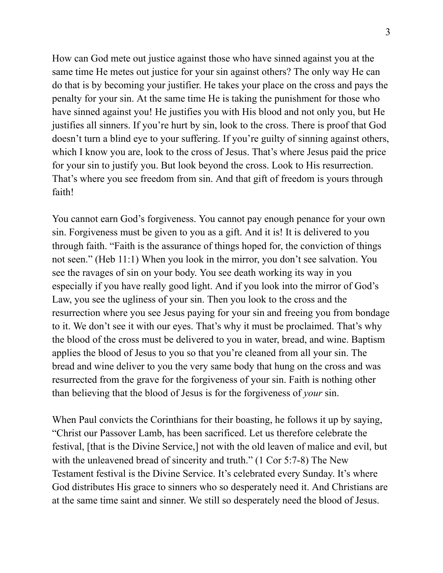How can God mete out justice against those who have sinned against you at the same time He metes out justice for your sin against others? The only way He can do that is by becoming your justifier. He takes your place on the cross and pays the penalty for your sin. At the same time He is taking the punishment for those who have sinned against you! He justifies you with His blood and not only you, but He justifies all sinners. If you're hurt by sin, look to the cross. There is proof that God doesn't turn a blind eye to your suffering. If you're guilty of sinning against others, which I know you are, look to the cross of Jesus. That's where Jesus paid the price for your sin to justify you. But look beyond the cross. Look to His resurrection. That's where you see freedom from sin. And that gift of freedom is yours through faith!

You cannot earn God's forgiveness. You cannot pay enough penance for your own sin. Forgiveness must be given to you as a gift. And it is! It is delivered to you through faith. "Faith is the assurance of things hoped for, the conviction of things not seen." (Heb 11:1) When you look in the mirror, you don't see salvation. You see the ravages of sin on your body. You see death working its way in you especially if you have really good light. And if you look into the mirror of God's Law, you see the ugliness of your sin. Then you look to the cross and the resurrection where you see Jesus paying for your sin and freeing you from bondage to it. We don't see it with our eyes. That's why it must be proclaimed. That's why the blood of the cross must be delivered to you in water, bread, and wine. Baptism applies the blood of Jesus to you so that you're cleaned from all your sin. The bread and wine deliver to you the very same body that hung on the cross and was resurrected from the grave for the forgiveness of your sin. Faith is nothing other than believing that the blood of Jesus is for the forgiveness of *your* sin.

When Paul convicts the Corinthians for their boasting, he follows it up by saying, "Christ our Passover Lamb, has been sacrificed. Let us therefore celebrate the festival, [that is the Divine Service,] not with the old leaven of malice and evil, but with the unleavened bread of sincerity and truth." (1 Cor 5:7-8) The New Testament festival is the Divine Service. It's celebrated every Sunday. It's where God distributes His grace to sinners who so desperately need it. And Christians are at the same time saint and sinner. We still so desperately need the blood of Jesus.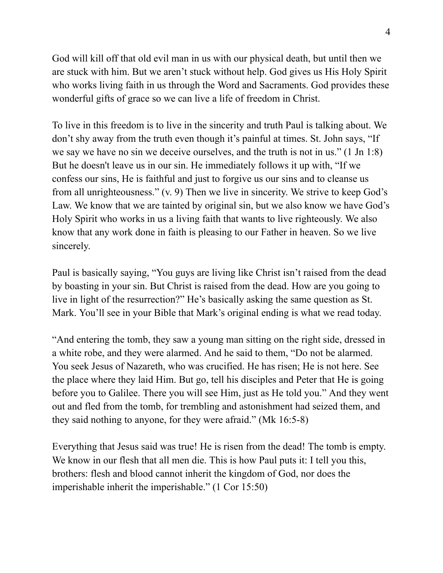God will kill off that old evil man in us with our physical death, but until then we are stuck with him. But we aren't stuck without help. God gives us His Holy Spirit who works living faith in us through the Word and Sacraments. God provides these wonderful gifts of grace so we can live a life of freedom in Christ.

To live in this freedom is to live in the sincerity and truth Paul is talking about. We don't shy away from the truth even though it's painful at times. St. John says, "If we say we have no sin we deceive ourselves, and the truth is not in us." (1 Jn 1:8) But he doesn't leave us in our sin. He immediately follows it up with, "If we confess our sins, He is faithful and just to forgive us our sins and to cleanse us from all unrighteousness." (v. 9) Then we live in sincerity. We strive to keep God's Law. We know that we are tainted by original sin, but we also know we have God's Holy Spirit who works in us a living faith that wants to live righteously. We also know that any work done in faith is pleasing to our Father in heaven. So we live sincerely.

Paul is basically saying, "You guys are living like Christ isn't raised from the dead by boasting in your sin. But Christ is raised from the dead. How are you going to live in light of the resurrection?" He's basically asking the same question as St. Mark. You'll see in your Bible that Mark's original ending is what we read today.

"And entering the tomb, they saw a young man sitting on the right side, dressed in a white robe, and they were alarmed. And he said to them, "Do not be alarmed. You seek Jesus of Nazareth, who was crucified. He has risen; He is not here. See the place where they laid Him. But go, tell his disciples and Peter that He is going before you to Galilee. There you will see Him, just as He told you." And they went out and fled from the tomb, for trembling and astonishment had seized them, and they said nothing to anyone, for they were afraid." (Mk 16:5-8)

Everything that Jesus said was true! He is risen from the dead! The tomb is empty. We know in our flesh that all men die. This is how Paul puts it: I tell you this, brothers: flesh and blood cannot inherit the kingdom of God, nor does the imperishable inherit the imperishable." (1 Cor 15:50)